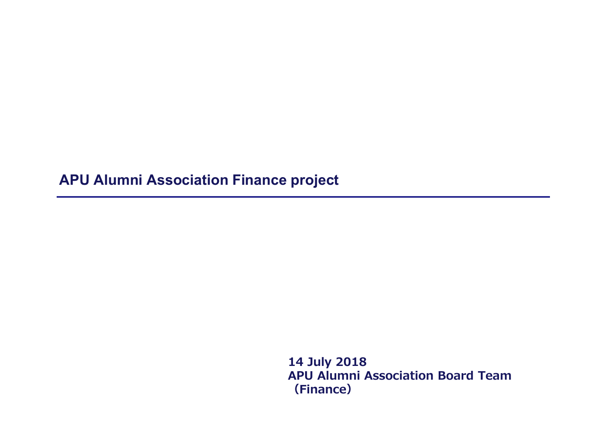**APU Alumni Association Finance project**

**14 July 2018 APU Alumni Association Board Team (Finance)**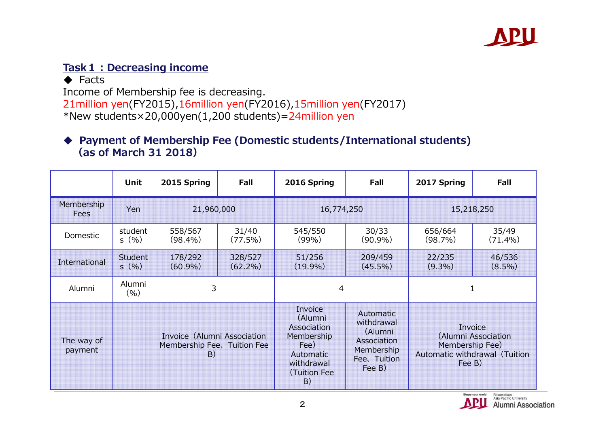

#### **Task1:Decreasing income**

 $\triangle$  Facts Income of Membership fee is decreasing. 21million yen(FY2015),16million yen(FY2016),15million yen(FY2017) \*New students×20,000yen(1,200 students)=24million yen

#### **Payment of Membership Fee (Domestic students/International students) (as of March 31 2018)**

|                       | Unit             | 2015 Spring                                                             | Fall                  | 2016 Spring                                                                                              | Fall                                                                                      | 2017 Spring                                                                                  | Fall                |
|-----------------------|------------------|-------------------------------------------------------------------------|-----------------------|----------------------------------------------------------------------------------------------------------|-------------------------------------------------------------------------------------------|----------------------------------------------------------------------------------------------|---------------------|
| Membership<br>Fees    | Yen              | 21,960,000                                                              |                       | 16,774,250                                                                                               |                                                                                           | 15,218,250                                                                                   |                     |
| Domestic              | student<br>S(96) | 558/567<br>$(98.4\%)$                                                   | 31/40<br>(77.5%)      | 545/550<br>$(99\%)$                                                                                      | 30/33<br>$(90.9\%)$                                                                       | 656/664<br>(98.7%)                                                                           | 35/49<br>$(71.4\%)$ |
| International         | Student<br>S(96) | 178/292<br>$(60.9\%)$                                                   | 328/527<br>$(62.2\%)$ | 51/256<br>$(19.9\%)$                                                                                     | 209/459<br>$(45.5\%)$                                                                     | 22/235<br>$(9.3\%)$                                                                          | 46/536<br>$(8.5\%)$ |
| Alumni                | Alumni<br>(9/6)  | 3                                                                       |                       | 4                                                                                                        |                                                                                           | 1                                                                                            |                     |
| The way of<br>payment |                  | <b>Invoice (Alumni Association</b><br>Membership Fee. Tuition Fee<br>B) |                       | Invoice<br>(Alumni<br>Association<br>Membership<br>Fee)<br>Automatic<br>withdrawal<br>(Tuition Fee<br>B) | Automatic<br>withdrawal<br>(Alumni<br>Association<br>Membership<br>Fee, Tuition<br>Fee B) | Invoice<br>(Alumni Association<br>Membership Fee)<br>Automatic withdrawal (Tuition<br>Fee B) |                     |

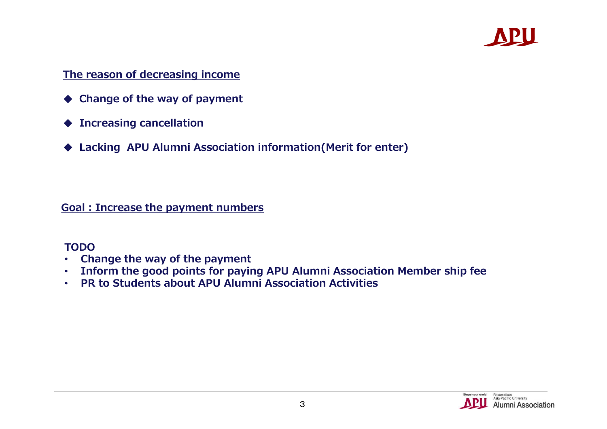

## **The reason of decreasing income**

- **Change of the way of payment**
- **Increasing cancellation**
- **Lacking APU Alumni Association information(Merit for enter)**

## **Goal:Increase the payment numbers**

## **TODO**

- **Change the way of the payment**
- **Inform the good points for paying APU Alumni Association Member ship fee**
- **PR to Students about APU Alumni Association Activities**

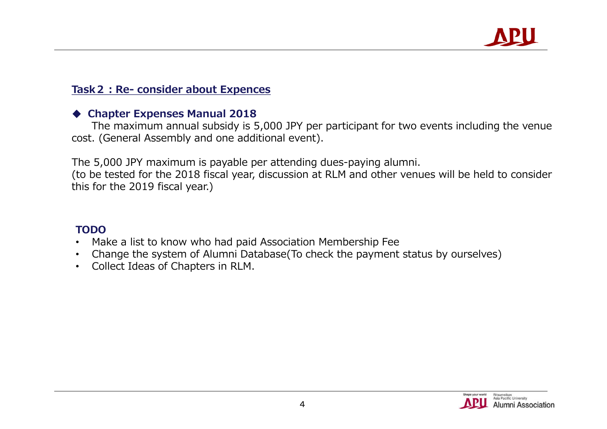

#### **Task2:Re- consider about Expences**

## **Chapter Expenses Manual 2018**

The maximum annual subsidy is 5,000 JPY per participant for two events including the venue cost. (General Assembly and one additional event).

The 5,000 JPY maximum is payable per attending dues-paying alumni.

(to be tested for the 2018 fiscal year, discussion at RLM and other venues will be held to consider this for the 2019 fiscal year.)

# **TODO**

- Make a list to know who had paid Association Membership Fee
- Change the system of Alumni Database(To check the payment status by ourselves)
- Collect Ideas of Chapters in RLM.